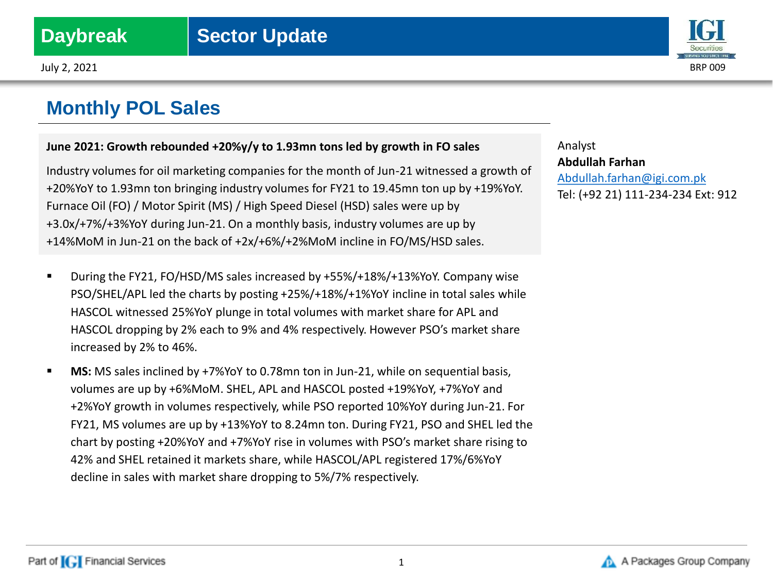

## **June 2021: Growth rebounded +20%y/y to 1.93mn tons led by growth in FO sales**

Industry volumes for oil marketing companies for the month of Jun-21 witnessed a growth of +20%YoY to 1.93mn ton bringing industry volumes for FY21 to 19.45mn ton up by +19%YoY. Furnace Oil (FO) / Motor Spirit (MS) / High Speed Diesel (HSD) sales were up by +3.0x/+7%/+3%YoY during Jun-21. On a monthly basis, industry volumes are up by +14%MoM in Jun-21 on the back of +2x/+6%/+2%MoM incline in FO/MS/HSD sales.

- During the FY21, FO/HSD/MS sales increased by +55%/+18%/+13%YoY. Company wise PSO/SHEL/APL led the charts by posting +25%/+18%/+1%YoY incline in total sales while HASCOL witnessed 25%YoY plunge in total volumes with market share for APL and HASCOL dropping by 2% each to 9% and 4% respectively. However PSO's market share increased by 2% to 46%.
- **MS:** MS sales inclined by +7%YoY to 0.78mn ton in Jun-21, while on sequential basis, volumes are up by +6%MoM. SHEL, APL and HASCOL posted +19%YoY, +7%YoY and +2%YoY growth in volumes respectively, while PSO reported 10%YoY during Jun-21. For FY21, MS volumes are up by +13%YoY to 8.24mn ton. During FY21, PSO and SHEL led the chart by posting +20%YoY and +7%YoY rise in volumes with PSO's market share rising to 42% and SHEL retained it markets share, while HASCOL/APL registered 17%/6%YoY decline in sales with market share dropping to 5%/7% respectively.

Analyst **Abdullah Farhan** [Abdullah.farhan@igi.com.pk](mailto:Shumail.rauf@igi.com.pk) Tel: (+92 21) 111-234-234 Ext: 912



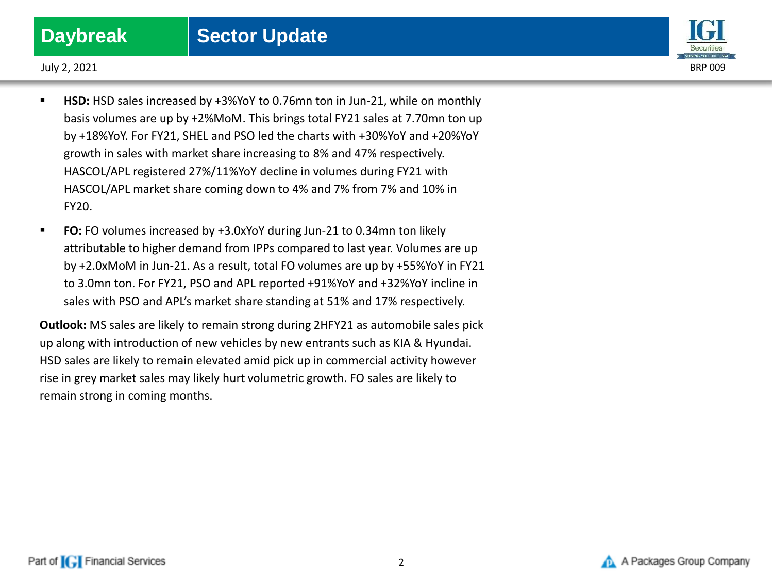

July 2, 2021 BRP 009

- HSD: HSD sales increased by +3%YoY to 0.76mn ton in Jun-21, while on monthly basis volumes are up by +2%MoM. This brings total FY21 sales at 7.70mn ton up by +18%YoY. For FY21, SHEL and PSO led the charts with +30%YoY and +20%YoY growth in sales with market share increasing to 8% and 47% respectively. HASCOL/APL registered 27%/11%YoY decline in volumes during FY21 with HASCOL/APL market share coming down to 4% and 7% from 7% and 10% in FY20.
- **FO:** FO volumes increased by +3.0xYoY during Jun-21 to 0.34mn ton likely attributable to higher demand from IPPs compared to last year. Volumes are up by +2.0xMoM in Jun-21. As a result, total FO volumes are up by +55%YoY in FY21 to 3.0mn ton. For FY21, PSO and APL reported +91%YoY and +32%YoY incline in sales with PSO and APL's market share standing at 51% and 17% respectively.

**Outlook:** MS sales are likely to remain strong during 2HFY21 as automobile sales pick up along with introduction of new vehicles by new entrants such as KIA & Hyundai. HSD sales are likely to remain elevated amid pick up in commercial activity however rise in grey market sales may likely hurt volumetric growth. FO sales are likely to remain strong in coming months.

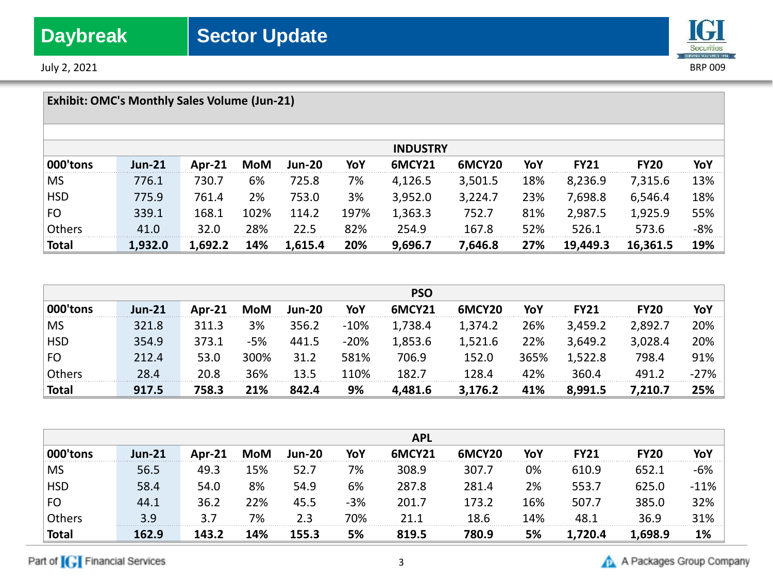July 2, 2021 BRP 009



## **Exhibit: OMC's Monthly Sales Volume (Jun-21) INDUSTRY 000'tons Jun-21 Apr-21 MoM Jun-20 YoY 6MCY21 6MCY20 YoY FY21 FY20 YoY** MS 776.1 730.7 6% 725.8 7% 4,126.5 3,501.5 18% 8,236.9 7,315.6 13% HSD 775.9 761.4 2% 753.0 3% 3,952.0 3,224.7 23% 7,698.8 6,546.4 18% FO 339.1 168.1 102% 114.2 197% 1,363.3 752.7 81% 2,987.5 1,925.9 55% Others 41.0 32.0 28% 22.5 82% 254.9 167.8 52% 526.1 573.6 -8% **Total 1,932.0 1,692.2 14% 1,615.4 20% 9,696.7 7,646.8 27% 19,449.3 16,361.5 19%**

|               |               |        |      |               |        | <b>PSO</b>    |                    |      |             |             |        |
|---------------|---------------|--------|------|---------------|--------|---------------|--------------------|------|-------------|-------------|--------|
| 000'tons      | <b>Jun-21</b> | Apr-21 | MoM  | <b>Jun-20</b> | YoY    | <b>6MCY21</b> | 6MCY <sub>20</sub> | YoY  | <b>FY21</b> | <b>FY20</b> | YoY    |
| <b>MS</b>     | 321.8         | 311.3  | 3%   | 356.2         | $-10%$ | 1,738.4       | 1,374.2            | 26%  | 3,459.2     | 2,892.7     | 20%    |
| <b>HSD</b>    | 354.9         | 373.1  | -5%  | 441.5         | $-20%$ | 1,853.6       | 1,521.6            | 22%  | 3,649.2     | 3,028.4     | 20%    |
| FO            | 212.4         | 53.0   | 300% | 31.2          | 581%   | 706.9         | 152.0              | 365% | 1,522.8     | 798.4       | 91%    |
| <b>Others</b> | 28.4          | 20.8   | 36%  | 13.5          | 110%   | 182.7         | 128.4              | 42%  | 360.4       | 491.2       | $-27%$ |
| <b>Total</b>  | 917.5         | 758.3  | 21%  | 842.4         | 9%     | 4,481.6       | 3,176.2            | 41%  | 8,991.5     | 7,210.7     | 25%    |

|                |               |           |            |               |       | <b>APL</b>    |        |     |             |             |         |
|----------------|---------------|-----------|------------|---------------|-------|---------------|--------|-----|-------------|-------------|---------|
| 000'tons       | <b>Jun-21</b> | Apr- $21$ | <b>MoM</b> | <b>Jun-20</b> | YoY   | <b>6MCY21</b> | 6MCY20 | YoY | <b>FY21</b> | <b>FY20</b> | YoY     |
| <b>MS</b>      | 56.5          | 49.3      | 15%        | 52.7          | 7%    | 308.9         | 307.7  | 0%  | 610.9       | 652.1       | -6%     |
| <b>HSD</b>     | 58.4          | 54.0      | 8%         | 54.9          | 6%    | 287.8         | 281.4  | 2%  | 553.7       | 625.0       | $-11\%$ |
| F <sub>O</sub> | 44.1          | 36.2      | 22%        | 45.5          | $-3%$ | 201.7         | 173.2  | 16% | 507.7       | 385.0       | 32%     |
| Others         | 3.9           | 3.7       | 7%         | 2.3           | 70%   | 21.1          | 18.6   | 14% | 48.1        | 36.9        | 31%     |
| <b>Total</b>   | 162.9         | 143.2     | 14%        | 155.3         | 5%    | 819.5         | 780.9  | 5%  | 1,720.4     | 1,698.9     | 1%      |

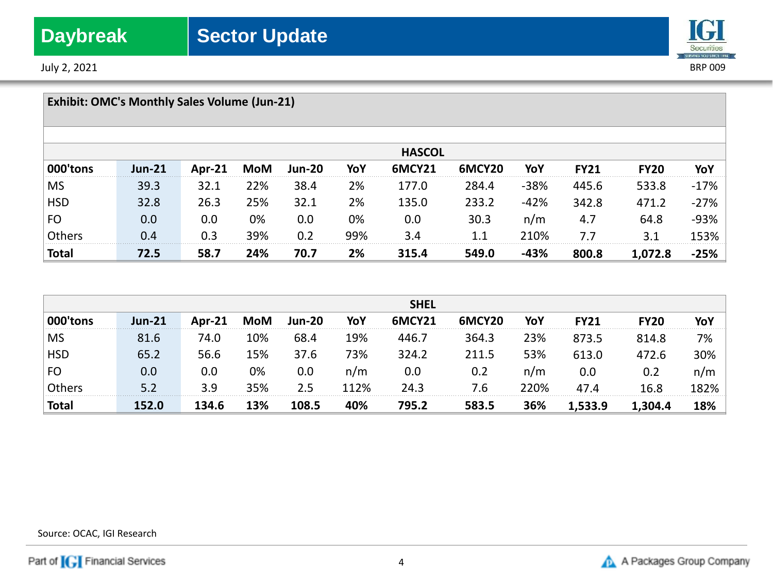July 2, 2021 BRP 009



| <b>Exhibit: OMC's Monthly Sales Volume (Jun-21)</b> |               |        |     |               |     |               |        |        |             |             |        |
|-----------------------------------------------------|---------------|--------|-----|---------------|-----|---------------|--------|--------|-------------|-------------|--------|
|                                                     |               |        |     |               |     | <b>HASCOL</b> |        |        |             |             |        |
| 000'tons                                            | <b>Jun-21</b> | Apr-21 | MoM | <b>Jun-20</b> | YoY | <b>6MCY21</b> | 6MCY20 | YoY    | <b>FY21</b> | <b>FY20</b> | YoY    |
| <b>MS</b>                                           | 39.3          | 32.1   | 22% | 38.4          | 2%  | 177.0         | 284.4  | $-38%$ | 445.6       | 533.8       | $-17%$ |
| <b>HSD</b>                                          | 32.8          | 26.3   | 25% | 32.1          | 2%  | 135.0         | 233.2  | $-42%$ | 342.8       | 471.2       | $-27%$ |
| FO                                                  | 0.0           | 0.0    | 0%  | 0.0           | 0%  | 0.0           | 30.3   | n/m    | 4.7         | 64.8        | $-93%$ |
| Others                                              | 0.4           | 0.3    | 39% | 0.2           | 99% | 3.4           | 1.1    | 210%   | 7.7         | 3.1         | 153%   |
| <b>Total</b>                                        | 72.5          | 58.7   | 24% | 70.7          | 2%  | 315.4         | 549.0  | $-43%$ | 800.8       | 1,072.8     | $-25%$ |

|              |               |        |     |               |      | <b>SHEL</b> |                    |      |             |             |      |
|--------------|---------------|--------|-----|---------------|------|-------------|--------------------|------|-------------|-------------|------|
| 000'tons     | <b>Jun-21</b> | Apr-21 | MoM | <b>Jun-20</b> | YoY  | 6MCY21      | 6MCY <sub>20</sub> | YoY  | <b>FY21</b> | <b>FY20</b> | YoY  |
| <b>MS</b>    | 81.6          | 74.0   | 10% | 68.4          | 19%  | 446.7       | 364.3              | 23%  | 873.5       | 814.8       | 7%   |
| <b>HSD</b>   | 65.2          | 56.6   | 15% | 37.6          | 73%  | 324.2       | 211.5              | 53%  | 613.0       | 472.6       | 30%  |
| <b>FO</b>    | $0.0\,$       | 0.0    | 0%  | 0.0           | n/m  | 0.0         | 0.2                | n/m  | 0.0         | 0.2         | n/m  |
| Others       | 5.2           | 3.9    | 35% | 2.5           | 112% | 24.3        | 7.6                | 220% | 47.4        | 16.8        | 182% |
| <b>Total</b> | 152.0         | 134.6  | 13% | 108.5         | 40%  | 795.2       | 583.5              | 36%  | 1,533.9     | 1,304.4     | 18%  |

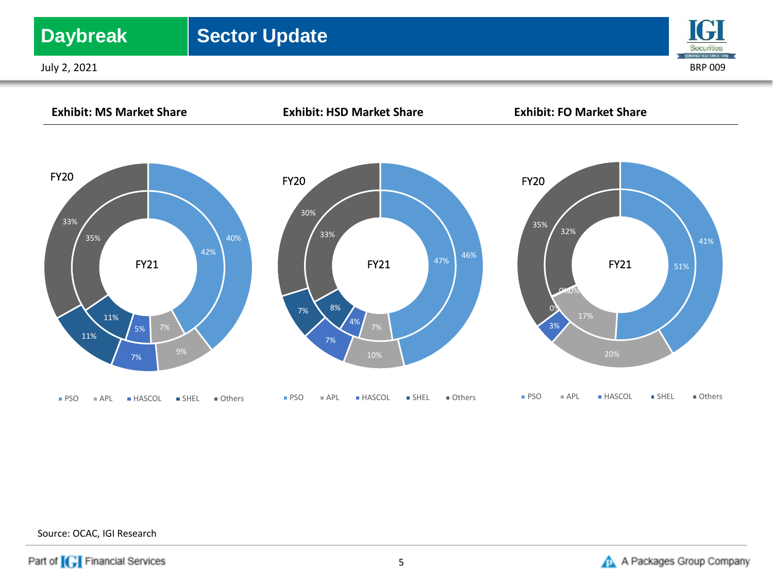## **Daybreak** | Sector Update

July 2, 2021 BRP 009





Source: OCAC, IGI Research

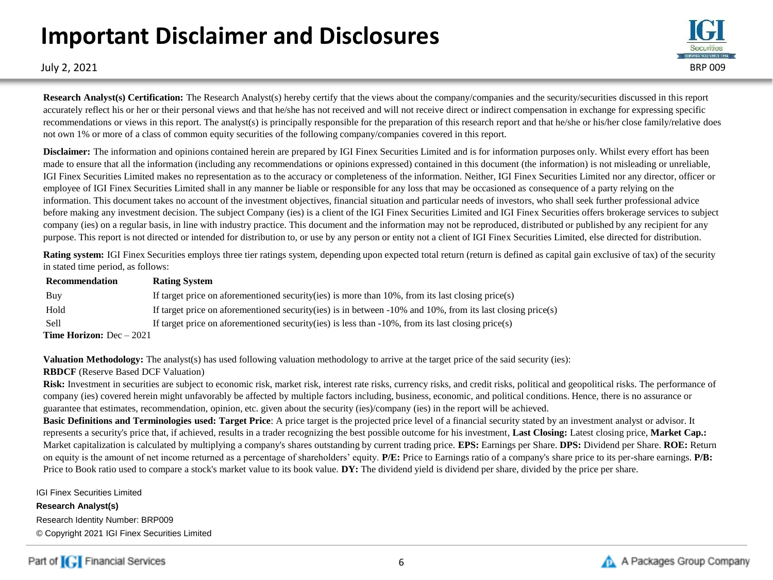# **Important Disclaimer and Disclosures**



**Research Analyst(s) Certification:** The Research Analyst(s) hereby certify that the views about the company/companies and the security/securities discussed in this report accurately reflect his or her or their personal views and that he/she has not received and will not receive direct or indirect compensation in exchange for expressing specific recommendations or views in this report. The analyst(s) is principally responsible for the preparation of this research report and that he/she or his/her close family/relative does not own 1% or more of a class of common equity securities of the following company/companies covered in this report.

**Disclaimer:** The information and opinions contained herein are prepared by IGI Finex Securities Limited and is for information purposes only. Whilst every effort has been made to ensure that all the information (including any recommendations or opinions expressed) contained in this document (the information) is not misleading or unreliable, IGI Finex Securities Limited makes no representation as to the accuracy or completeness of the information. Neither, IGI Finex Securities Limited nor any director, officer or employee of IGI Finex Securities Limited shall in any manner be liable or responsible for any loss that may be occasioned as consequence of a party relying on the information. This document takes no account of the investment objectives, financial situation and particular needs of investors, who shall seek further professional advice before making any investment decision. The subject Company (ies) is a client of the IGI Finex Securities Limited and IGI Finex Securities offers brokerage services to subject company (ies) on a regular basis, in line with industry practice. This document and the information may not be reproduced, distributed or published by any recipient for any purpose. This report is not directed or intended for distribution to, or use by any person or entity not a client of IGI Finex Securities Limited, else directed for distribution.

**Rating system:** IGI Finex Securities employs three tier ratings system, depending upon expected total return (return is defined as capital gain exclusive of tax) of the security in stated time period, as follows:

| Recommendation                    | <b>Rating System</b>                                                                                               |
|-----------------------------------|--------------------------------------------------------------------------------------------------------------------|
| Buy                               | If target price on aforementioned security (ies) is more than $10\%$ , from its last closing price (s)             |
| Hold                              | If target price on aforementioned security (ies) is in between $-10\%$ and $10\%$ , from its last closing price(s) |
| <b>Sell</b>                       | If target price on aforementioned security (ies) is less than $-10\%$ , from its last closing price (s)            |
| <b>Time Horizon:</b> $Dec - 2021$ |                                                                                                                    |

**Valuation Methodology:** The analyst(s) has used following valuation methodology to arrive at the target price of the said security (ies):

## **RBDCF** (Reserve Based DCF Valuation)

Risk: Investment in securities are subject to economic risk, market risk, interest rate risks, currency risks, and credit risks, political and geopolitical risks. The performance of company (ies) covered herein might unfavorably be affected by multiple factors including, business, economic, and political conditions. Hence, there is no assurance or guarantee that estimates, recommendation, opinion, etc. given about the security (ies)/company (ies) in the report will be achieved.

**Basic Definitions and Terminologies used: Target Price**: A price target is the projected price level of a financial security stated by an investment analyst or advisor. It represents a security's price that, if achieved, results in a trader recognizing the best possible outcome for his investment, **Last Closing:** Latest closing price, **Market Cap.:**  Market capitalization is calculated by multiplying a company's shares outstanding by current trading price. **EPS:** Earnings per Share. **DPS:** Dividend per Share. **ROE:** Return on equity is the amount of net income returned as a percentage of shareholders' equity. **P/E:** Price to Earnings ratio of a company's share price to its per-share earnings. **P/B:** Price to Book ratio used to compare a stock's market value to its book value. **DY:** The dividend yield is dividend per share, divided by the price per share.

IGI Finex Securities Limited

**Research Analyst(s)** Research Identity Number: BRP009 © Copyright 2021 IGI Finex Securities Limited